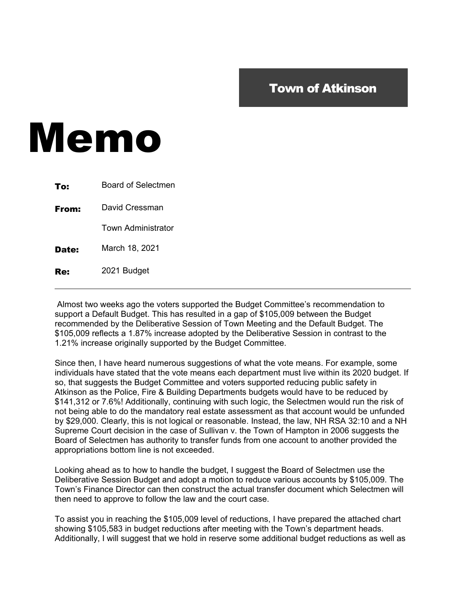## Town of Atkinson

## Memo

| To:   | <b>Board of Selectmen</b> |
|-------|---------------------------|
| From: | David Cressman            |
|       | <b>Town Administrator</b> |
| Date: | March 18, 2021            |
|       | 2021 Budget               |

 Almost two weeks ago the voters supported the Budget Committee's recommendation to support a Default Budget. This has resulted in a gap of \$105,009 between the Budget recommended by the Deliberative Session of Town Meeting and the Default Budget. The \$105,009 reflects a 1.87% increase adopted by the Deliberative Session in contrast to the 1.21% increase originally supported by the Budget Committee.

Since then, I have heard numerous suggestions of what the vote means. For example, some individuals have stated that the vote means each department must live within its 2020 budget. If so, that suggests the Budget Committee and voters supported reducing public safety in Atkinson as the Police, Fire & Building Departments budgets would have to be reduced by \$141,312 or 7.6%! Additionally, continuing with such logic, the Selectmen would run the risk of not being able to do the mandatory real estate assessment as that account would be unfunded by \$29,000. Clearly, this is not logical or reasonable. Instead, the law, NH RSA 32:10 and a NH Supreme Court decision in the case of Sullivan v. the Town of Hampton in 2006 suggests the Board of Selectmen has authority to transfer funds from one account to another provided the appropriations bottom line is not exceeded.

Looking ahead as to how to handle the budget, I suggest the Board of Selectmen use the Deliberative Session Budget and adopt a motion to reduce various accounts by \$105,009. The Town's Finance Director can then construct the actual transfer document which Selectmen will then need to approve to follow the law and the court case.

To assist you in reaching the \$105,009 level of reductions, I have prepared the attached chart showing \$105,583 in budget reductions after meeting with the Town's department heads. Additionally, I will suggest that we hold in reserve some additional budget reductions as well as